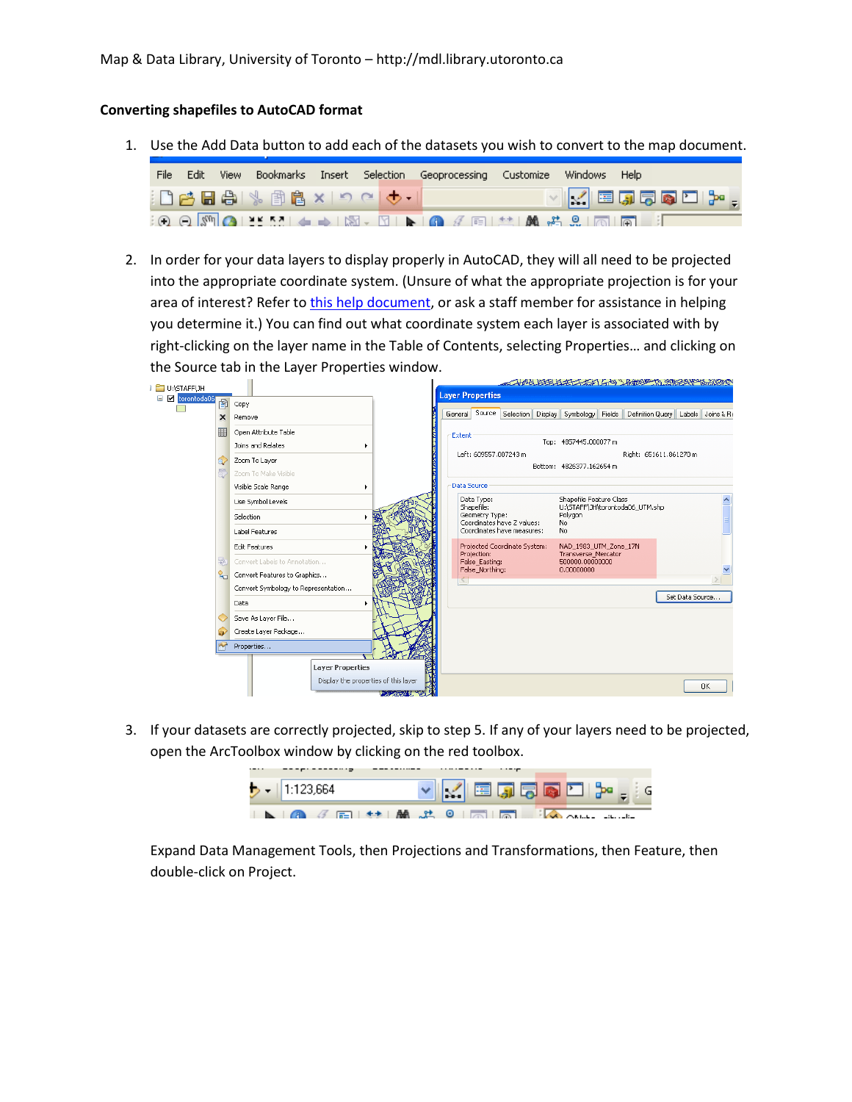## **Converting shapefiles to AutoCAD format**

1. Use the Add Data button to add each of the datasets you wish to convert to the map document.

| Edit. |                                                        |  | View Bookmarks Insert Selection Geoprocessing Customize Windows Help                                                                                                                                                                                                                                                                                                                                                                                         |  |                                                                                        |
|-------|--------------------------------------------------------|--|--------------------------------------------------------------------------------------------------------------------------------------------------------------------------------------------------------------------------------------------------------------------------------------------------------------------------------------------------------------------------------------------------------------------------------------------------------------|--|----------------------------------------------------------------------------------------|
|       | ┊凸 <del>内</del> 日 合 │ ℁ 自 白 x │ つ ୯ │ <del>◆ │</del> │ |  |                                                                                                                                                                                                                                                                                                                                                                                                                                                              |  | $\vee \ \swarrow\  \boxplus \text{tr} \boxdot \boxdot \boxdot \boxdot \boxdot \cdots,$ |
|       |                                                        |  | $\mathbb{E}[\mathfrak{S}_1 \oplus \mathfrak{S}_2] \cong \mathbb{E}[\mathfrak{S}_1] \twoheadrightarrow \mathbb{E}[\mathfrak{S}_1 \times \mathfrak{S}_1] \blacktriangleright [\mathfrak{S}_1 \not\in \mathfrak{S}_1] \cong \mathbb{E}[\mathfrak{S}_1 \not\cong \mathfrak{S}_1] \otimes \mathbb{E}[\mathfrak{S}_1] \cong \mathbb{E}[\mathfrak{S}_1 \otimes \mathfrak{S}_2] \cong \mathbb{E}[\mathfrak{S}_1 \otimes \mathfrak{S}_2] \cong \mathbb{E}[\mathfrak{$ |  |                                                                                        |

2. In order for your data layers to display properly in AutoCAD, they will all need to be projected into the appropriate coordinate system. (Unsure of what the appropriate projection is for your area of interest? Refer to this [help document,](http://mdl.library.utoronto.ca/guides-help/selecting-right-projection) or ask a staff member for assistance in helping you determine it.) You can find out what coordinate system each layer is associated with by right-clicking on the layer name in the Table of Contents, selecting Properties… and clicking on the Source tab in the Layer Properties window.

| U:\STAFF\JH       |                             |                                     |                                      |                                                 |                          |                                                          |  |                                                                 |  | 2 七月四十五七十五十七日 一年前の 日、日、北京大学 あまどめの      |                 |           |
|-------------------|-----------------------------|-------------------------------------|--------------------------------------|-------------------------------------------------|--------------------------|----------------------------------------------------------|--|-----------------------------------------------------------------|--|----------------------------------------|-----------------|-----------|
| 日 D torontoda06 图 |                             |                                     |                                      |                                                 | <b>Layer Properties</b>  |                                                          |  |                                                                 |  |                                        |                 |           |
|                   |                             | Copy                                |                                      |                                                 |                          |                                                          |  |                                                                 |  |                                        |                 |           |
|                   | ×                           | Remove                              |                                      | General                                         |                          |                                                          |  | Source Selection Display Symbology Fields                       |  | Definition Query   Labels   Joins & Re |                 |           |
|                   | 匪                           | Open Attribute Table                |                                      | Extent                                          |                          |                                                          |  |                                                                 |  |                                        |                 |           |
|                   |                             | Joins and Relates                   |                                      |                                                 |                          |                                                          |  | Top: 4857445.000077 m                                           |  |                                        |                 |           |
|                   |                             | Zoom To Layer                       |                                      | Left: 609557.007243 m<br>Right: 651611.861270 m |                          |                                                          |  |                                                                 |  |                                        |                 |           |
|                   | 5                           | Zoom To Make Visible                | Bottom: 4826377.162654 m             |                                                 |                          |                                                          |  |                                                                 |  |                                        |                 |           |
|                   |                             | Visible Scale Range<br>٠            |                                      | Data Source                                     |                          |                                                          |  |                                                                 |  |                                        |                 |           |
|                   |                             | Use Symbol Levels                   |                                      |                                                 | Data Type:<br>Shapefile: |                                                          |  | Shapefile Feature Class<br>U:\STAFF\JH\torontoda06_UTM.shp      |  |                                        |                 |           |
|                   | 郹<br>$\mathbf{Q}_{\square}$ | Selection                           |                                      |                                                 | Geometry Type:           | Coordinates have Z values:<br>Coordinates have measures: |  | Polygon<br>No.                                                  |  |                                        |                 |           |
|                   |                             | <b>Label Features</b>               |                                      |                                                 |                          |                                                          |  | No.                                                             |  |                                        |                 |           |
|                   |                             | <b>Edit Features</b>                |                                      |                                                 | Projection:              | Projected Coordinate System:                             |  | NAD_1983_UTM_Zone_17N<br>Transverse_Mercator<br>500000.00000000 |  |                                        |                 |           |
|                   |                             | Convert Labels to Annotation        |                                      |                                                 | False Easting:           |                                                          |  |                                                                 |  |                                        |                 |           |
|                   |                             | Convert Features to Graphics        |                                      |                                                 | False_Northing:          |                                                          |  | 0.00000000                                                      |  |                                        |                 |           |
|                   |                             | Convert Symbology to Representation |                                      |                                                 |                          |                                                          |  |                                                                 |  |                                        |                 |           |
|                   |                             | Data                                |                                      |                                                 |                          |                                                          |  |                                                                 |  |                                        | Set Data Source |           |
|                   |                             | Save As Layer File                  |                                      |                                                 |                          |                                                          |  |                                                                 |  |                                        |                 |           |
|                   | <b>SP</b>                   | Create Layer Package                |                                      |                                                 |                          |                                                          |  |                                                                 |  |                                        |                 |           |
|                   |                             | Properties                          |                                      |                                                 |                          |                                                          |  |                                                                 |  |                                        |                 |           |
|                   |                             | <b>Layer Properties</b>             |                                      |                                                 |                          |                                                          |  |                                                                 |  |                                        |                 |           |
|                   |                             |                                     | Display the properties of this layer |                                                 |                          |                                                          |  |                                                                 |  |                                        |                 |           |
|                   |                             |                                     | <b>Controller</b>                    |                                                 |                          |                                                          |  |                                                                 |  |                                        |                 | <b>OK</b> |
|                   |                             |                                     |                                      |                                                 |                          |                                                          |  |                                                                 |  |                                        |                 |           |

3. If your datasets are correctly projected, skip to step 5. If any of your layers need to be projected, open the ArcToolbox window by clicking on the red toolbox.

| $-$ 1:123,664 |  |  | VKEJ50LP. |  |
|---------------|--|--|-----------|--|
|               |  |  |           |  |

Expand Data Management Tools, then Projections and Transformations, then Feature, then double-click on Project.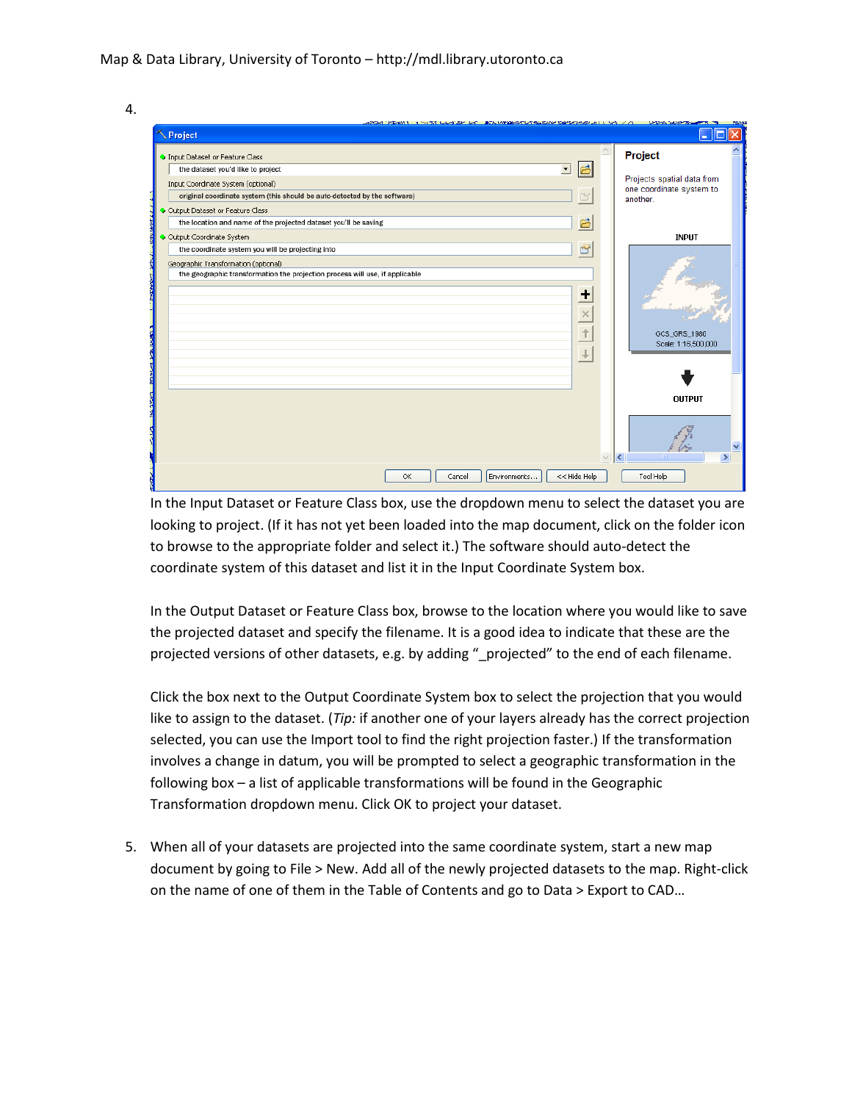

| CACACI AND WAS THE THE RESIDENT ON THE REPORT OF A REPORT OF THE RESIDENCE OF A RESIDENCE OF A REPORT OF A REPORT OF A REPORT OF A REPORT OF A REPORT OF A REPORT OF A REPORT OF A REPORT OF A REPORT OF A REPORT OF A REPORT<br>Project |                                    |   | <b>Contract Selection Commercial</b><br>ш.             |
|------------------------------------------------------------------------------------------------------------------------------------------------------------------------------------------------------------------------------------------|------------------------------------|---|--------------------------------------------------------|
| <b>O</b> Input Dataset or Feature Class                                                                                                                                                                                                  |                                    |   | Project                                                |
| the dataset you'd like to project<br>$\blacktriangledown$                                                                                                                                                                                | 已                                  |   |                                                        |
| Input Coordinate System (optional)                                                                                                                                                                                                       |                                    |   | Projects spatial data from<br>one coordinate system to |
| original coordinate system (this should be auto-detected by the software)                                                                                                                                                                | 的                                  |   | another.                                               |
| Output Dataset or Feature Class                                                                                                                                                                                                          |                                    |   |                                                        |
| the location and name of the projected dataset you'll be saving                                                                                                                                                                          | Ë                                  |   |                                                        |
| Output Coordinate System                                                                                                                                                                                                                 |                                    |   | <b>INPUT</b>                                           |
| the coordinate system you will be projecting into                                                                                                                                                                                        | Ġ                                  |   |                                                        |
| Geographic Transformation (optional)                                                                                                                                                                                                     |                                    |   |                                                        |
| the geographic transformation the projection process will use, if applicable                                                                                                                                                             |                                    |   |                                                        |
|                                                                                                                                                                                                                                          | ٠<br>$\times$<br>↑<br>$\downarrow$ |   | GCS_GRS_1980<br>Scale: 1:16,500,000                    |
|                                                                                                                                                                                                                                          |                                    |   | <b>OUTPUT</b>                                          |
|                                                                                                                                                                                                                                          |                                    | ₹ | $\,$                                                   |
| Environments<br>OK<br>Cancel                                                                                                                                                                                                             | $<<$ Hide Help                     |   | Tool Help                                              |

In the Input Dataset or Feature Class box, use the dropdown menu to select the dataset you are looking to project. (If it has not yet been loaded into the map document, click on the folder icon to browse to the appropriate folder and select it.) The software should auto-detect the coordinate system of this dataset and list it in the Input Coordinate System box.

In the Output Dataset or Feature Class box, browse to the location where you would like to save the projected dataset and specify the filename. It is a good idea to indicate that these are the projected versions of other datasets, e.g. by adding "\_projected" to the end of each filename.

Click the box next to the Output Coordinate System box to select the projection that you would like to assign to the dataset. (*Tip:* if another one of your layers already has the correct projection selected, you can use the Import tool to find the right projection faster.) If the transformation involves a change in datum, you will be prompted to select a geographic transformation in the following box – a list of applicable transformations will be found in the Geographic Transformation dropdown menu. Click OK to project your dataset.

5. When all of your datasets are projected into the same coordinate system, start a new map document by going to File > New. Add all of the newly projected datasets to the map. Right-click on the name of one of them in the Table of Contents and go to Data > Export to CAD…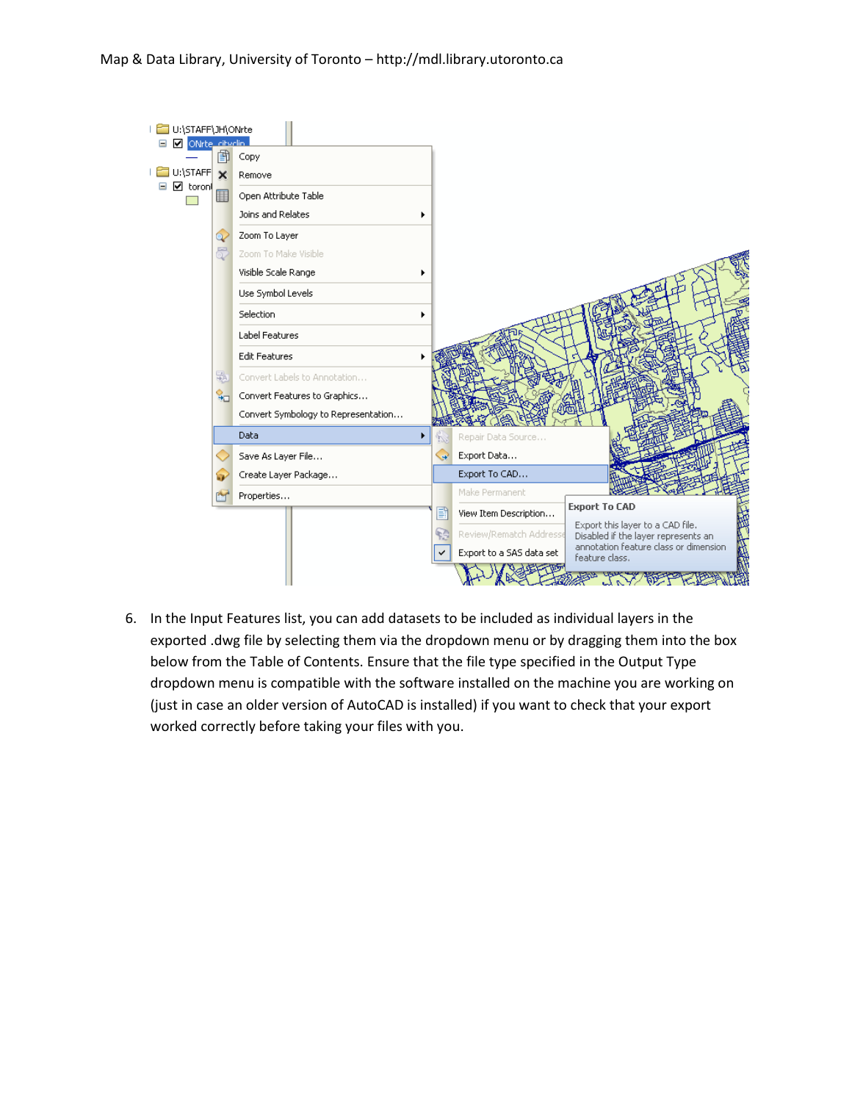## Map & Data Library, University of Toronto – http://mdl.library.utoronto.ca



6. In the Input Features list, you can add datasets to be included as individual layers in the exported .dwg file by selecting them via the dropdown menu or by dragging them into the box below from the Table of Contents. Ensure that the file type specified in the Output Type dropdown menu is compatible with the software installed on the machine you are working on (just in case an older version of AutoCAD is installed) if you want to check that your export worked correctly before taking your files with you.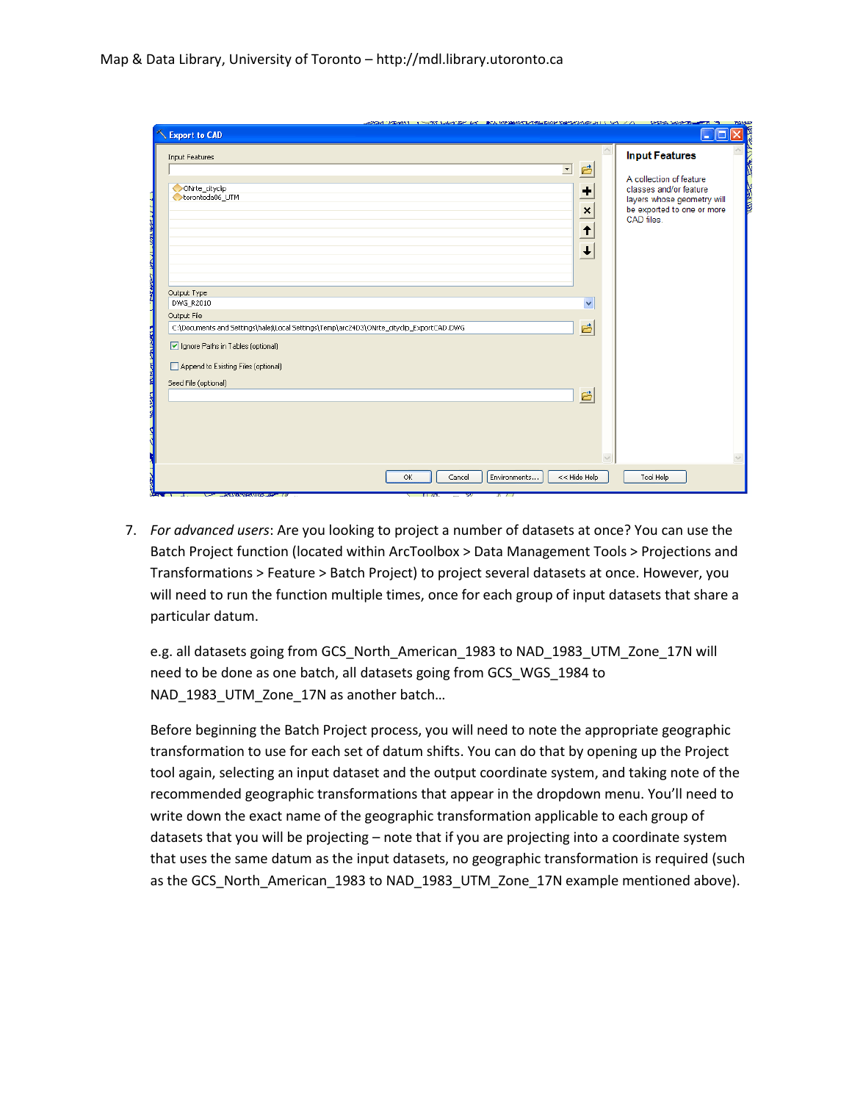| SPORT PERMIT I TRING CARD OF A BOURDERFUTION CASERBOAT USE A 271 - CREA SPACE TO THE<br>Export to CAD                                                                    |                                                                                       | H.                                                                                                                                                                    |
|--------------------------------------------------------------------------------------------------------------------------------------------------------------------------|---------------------------------------------------------------------------------------|-----------------------------------------------------------------------------------------------------------------------------------------------------------------------|
| <b>Input Features</b><br>$\blacksquare$<br>ONrte cityclip<br>torontoda06 UTM                                                                                             | $\land$<br>B<br>٠<br>$\mathbf{x}$<br>$\vert \textbf{t} \vert$<br>$\ddot{\phantom{1}}$ | <b>Input Features</b><br>A collection of feature<br><b>READER</b><br>classes and/or feature<br>layers whose geometry will<br>be exported to one or more<br>CAD files. |
| Output Type<br>DWG_R2010<br>Output File<br>C:\Documents and Settings\halej\Local Settings\Temp\arc24D3\ONrte_cityclip_ExportCAD.DWG<br>Ignore Paths in Tables (optional) | v<br>凸                                                                                |                                                                                                                                                                       |
| Append to Existing Files (optional)<br>Seed File (optional)                                                                                                              | 凸                                                                                     |                                                                                                                                                                       |
| Environments<br>Cancel<br>OK.                                                                                                                                            | << Hide Help                                                                          | Tool Help                                                                                                                                                             |

7. *For advanced users*: Are you looking to project a number of datasets at once? You can use the Batch Project function (located within ArcToolbox > Data Management Tools > Projections and Transformations > Feature > Batch Project) to project several datasets at once. However, you will need to run the function multiple times, once for each group of input datasets that share a particular datum.

e.g. all datasets going from GCS\_North\_American\_1983 to NAD\_1983\_UTM\_Zone\_17N will need to be done as one batch, all datasets going from GCS\_WGS\_1984 to NAD\_1983\_UTM\_Zone\_17N as another batch...

Before beginning the Batch Project process, you will need to note the appropriate geographic transformation to use for each set of datum shifts. You can do that by opening up the Project tool again, selecting an input dataset and the output coordinate system, and taking note of the recommended geographic transformations that appear in the dropdown menu. You'll need to write down the exact name of the geographic transformation applicable to each group of datasets that you will be projecting – note that if you are projecting into a coordinate system that uses the same datum as the input datasets, no geographic transformation is required (such as the GCS\_North\_American\_1983 to NAD\_1983\_UTM\_Zone\_17N example mentioned above).